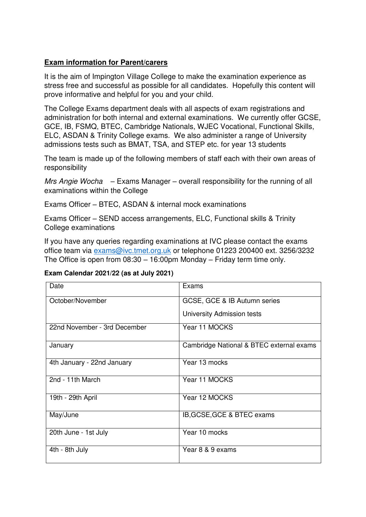# **Exam information for Parent/carers**

It is the aim of Impington Village College to make the examination experience as stress free and successful as possible for all candidates. Hopefully this content will prove informative and helpful for you and your child.

The College Exams department deals with all aspects of exam registrations and administration for both internal and external examinations. We currently offer GCSE, GCE, IB, FSMQ, BTEC, Cambridge Nationals, WJEC Vocational, Functional Skills, ELC, ASDAN & Trinity College exams. We also administer a range of University admissions tests such as BMAT, TSA, and STEP etc. for year 13 students

The team is made up of the following members of staff each with their own areas of responsibility

Mrs Angie Wocha  $-$  Exams Manager – overall responsibility for the running of all examinations within the College

Exams Officer – BTEC, ASDAN & internal mock examinations

Exams Officer – SEND access arrangements, ELC, Functional skills & Trinity College examinations

If you have any queries regarding examinations at IVC please contact the exams office team via [exams@ivc.tmet.org.uk](mailto:exams@ivc.tmet.org.uk) or telephone 01223 200400 ext. 3256/3232 The Office is open from 08:30 – 16:00pm Monday – Friday term time only.

#### **Exam Calendar 2021/22 (as at July 2021)**

| Date                         | Exams                                    |
|------------------------------|------------------------------------------|
| October/November             | GCSE, GCE & IB Autumn series             |
|                              | University Admission tests               |
| 22nd November - 3rd December | Year 11 MOCKS                            |
| January                      | Cambridge National & BTEC external exams |
| 4th January - 22nd January   | Year 13 mocks                            |
| 2nd - 11th March             | Year 11 MOCKS                            |
| 19th - 29th April            | Year 12 MOCKS                            |
| May/June                     | IB, GCSE, GCE & BTEC exams               |
| 20th June - 1st July         | Year 10 mocks                            |
| 4th - 8th July               | Year 8 & 9 exams                         |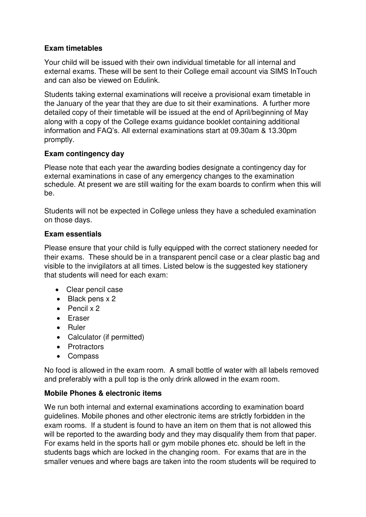## **Exam timetables**

Your child will be issued with their own individual timetable for all internal and external exams. These will be sent to their College email account via SIMS InTouch and can also be viewed on Edulink.

Students taking external examinations will receive a provisional exam timetable in the January of the year that they are due to sit their examinations. A further more detailed copy of their timetable will be issued at the end of April/beginning of May along with a copy of the College exams guidance booklet containing additional information and FAQ's. All external examinations start at 09.30am & 13.30pm promptly.

## **Exam contingency day**

Please note that each year the awarding bodies designate a contingency day for external examinations in case of any emergency changes to the examination schedule. At present we are still waiting for the exam boards to confirm when this will be.

Students will not be expected in College unless they have a scheduled examination on those days.

## **Exam essentials**

Please ensure that your child is fully equipped with the correct stationery needed for their exams. These should be in a transparent pencil case or a clear plastic bag and visible to the invigilators at all times. Listed below is the suggested key stationery that students will need for each exam:

- Clear pencil case
- Black pens x 2
- $\bullet$  Pencil x 2
- Eraser
- Ruler
- Calculator (if permitted)
- Protractors
- Compass

No food is allowed in the exam room. A small bottle of water with all labels removed and preferably with a pull top is the only drink allowed in the exam room.

## **Mobile Phones & electronic items**

We run both internal and external examinations according to examination board guidelines. Mobile phones and other electronic items are str**i**ctly forbidden in the exam rooms. If a student is found to have an item on them that is not allowed this will be reported to the awarding body and they may disqualify them from that paper. For exams held in the sports hall or gym mobile phones etc. should be left in the students bags which are locked in the changing room. For exams that are in the smaller venues and where bags are taken into the room students will be required to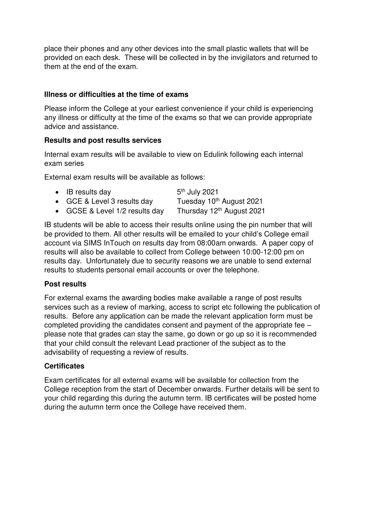place their phones and any other devices into the small plastic wallets that will be provided on each desk. These will be collected in by the invigilators and returned to them at the end of the exam.

## **Illness or difficulties at the time of exams**

Please inform the College at your earliest convenience if your child is experiencing any illness or difficulty at the time of the exams so that we can provide appropriate advice and assistance.

## **Results and post results services**

Internal exam results will be available to view on Edulink following each internal exam series

External exam results will be available as follows:

| $\bullet$ IB results day       | 5 <sup>th</sup> July 2021             |
|--------------------------------|---------------------------------------|
| • GCE & Level 3 results day    | Tuesday 10 <sup>th</sup> August 2021  |
| • GCSE & Level 1/2 results day | Thursday 12 <sup>th</sup> August 2021 |

IB students will be able to access their results online using the pin number that will be provided to them. All other results will be emailed to your child's College email account via SIMS InTouch on results day from 08:00am onwards. A paper copy of results will also be available to collect from College between 10:00-12:00 pm on results day. Unfortunately due to security reasons we are unable to send external results to students personal email accounts or over the telephone.

#### **Post results**

For external exams the awarding bodies make available a range of post results services such as a review of marking, access to script etc following the publication of results. Before any application can be made the relevant application form must be completed providing the candidates consent and payment of the appropriate fee – please note that grades can stay the same, go down or go up so it is recommended that your child consult the relevant Lead practioner of the subject as to the advisability of requesting a review of results.

## **Certificates**

Exam certificates for all external exams will be available for collection from the College reception from the start of December onwards. Further details will be sent to your child regarding this during the autumn term. IB certificates will be posted home during the autumn term once the College have received them.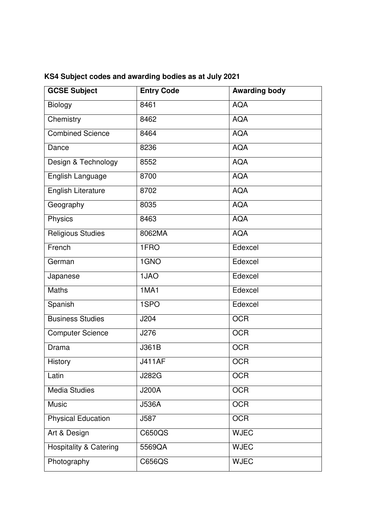| <b>GCSE Subject</b>               | <b>Entry Code</b> | <b>Awarding body</b> |
|-----------------------------------|-------------------|----------------------|
| <b>Biology</b>                    | 8461              | <b>AQA</b>           |
| Chemistry                         | 8462              | <b>AQA</b>           |
| <b>Combined Science</b>           | 8464              | <b>AQA</b>           |
| Dance                             | 8236              | <b>AQA</b>           |
| Design & Technology               | 8552              | <b>AQA</b>           |
| English Language                  | 8700              | <b>AQA</b>           |
| English Literature                | 8702              | <b>AQA</b>           |
| Geography                         | 8035              | <b>AQA</b>           |
| Physics                           | 8463              | <b>AQA</b>           |
| <b>Religious Studies</b>          | 8062MA            | <b>AQA</b>           |
| French                            | 1FRO              | Edexcel              |
| German                            | 1GNO              | Edexcel              |
| Japanese                          | 1JAO              | Edexcel              |
| Maths                             | 1MA1              | Edexcel              |
| Spanish                           | 1SPO              | Edexcel              |
| <b>Business Studies</b>           | J204              | <b>OCR</b>           |
| <b>Computer Science</b>           | J276              | <b>OCR</b>           |
| <b>Drama</b>                      | J361B             | <b>OCR</b>           |
| History                           | <b>J411AF</b>     | OCR                  |
| Latin                             | <b>J282G</b>      | <b>OCR</b>           |
| <b>Media Studies</b>              | <b>J200A</b>      | <b>OCR</b>           |
| <b>Music</b>                      | <b>J536A</b>      | <b>OCR</b>           |
| <b>Physical Education</b>         | J587              | <b>OCR</b>           |
| Art & Design                      | C650QS            | <b>WJEC</b>          |
| <b>Hospitality &amp; Catering</b> | 5569QA            | <b>WJEC</b>          |
| Photography                       | C656QS            | <b>WJEC</b>          |

# **KS4 Subject codes and awarding bodies as at July 2021**